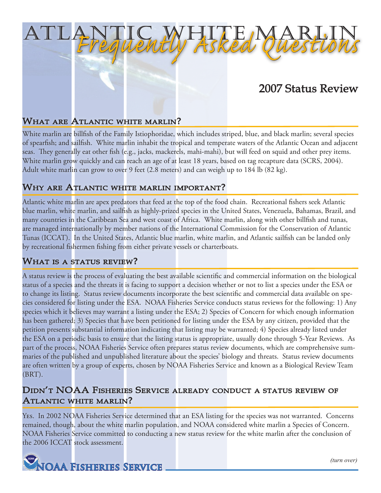# 2007 Status Review

#### What are Atlantic white marlin?

White marlin are billfish of the Family Istiophoridae, which includes striped, blue, and black marlin; several species of spearfish; and sailfish. White marlin inhabit the tropical and temperate waters of the Atlantic Ocean and adjacent seas. They generally eat other fish (e.g., jacks, mackerels, mahi-mahi), but will feed on squid and other prey items. White marlin grow quickly and can reach an age of at least 18 years, based on tag recapture data (SCRS, 2004). Adult white marlin can grow to over 9 feet (2.8 meters) and can weigh up to 184 lb (82 kg).

Atlantic White Marlin

*Frequently Asked Questions*

#### Why are Atlantic white marlin important?

Atlantic white marlin are apex predators that feed at the top of the food chain. Recreational fishers seek Atlantic blue marlin, white marlin, and sailfish as highly-prized species in the United States, Venezuela, Bahamas, Brazil, and many countries in the Caribbean Sea and west coast of Africa. White marlin, along with other billfish and tunas, are managed internationally by member nations of the International Commission for the Conservation of Atlantic Tunas (ICCAT). In the United States, Atlantic blue marlin, white marlin, and Atlantic sailfish can be landed only by recreational fishermen fishing from either private vessels or charterboats.

## What is a status review?

A status review is the process of evaluating the best available scientific and commercial information on the biological status of a species and the threats it is facing to support a decision whether or not to list a species under the ESA or to change its listing. Status review documents incorporate the best scientific and commercial data available on species considered for listing under the ESA. NOAA Fisheries Service conducts status reviews for the following: 1) Any species which it believes may warrant a listing under the ESA; 2) Species of Concern for which enough information has been gathered; 3) Species that have been petitioned for listing under the ESA by any citizen, provided that the petition presents substantial information indicating that listing may be warranted; 4) Species already listed under the ESA on a periodic basis to ensure that the listing status is appropriate, usually done through 5-Year Reviews. As part of the process, NOAA Fisheries Service often prepares status review documents, which are comprehensive summaries of the published and unpublished literature about the species' biology and threats. Status review documents are often written <mark>b</mark>y a group of experts, chosen by NOAA Fisheries Service and known as a Biological Review Team (BRT).

### Didn't NOAA Fisheries Service already conduct <sup>a</sup> status review of Atlantic white marlin?

Yes. In 2002 NOAA Fisheries Service determined that an ESA listing for the species was not warranted. Concerns remained, though, about the white marlin population, and NOAA considered white marlin a Species of Concern. NOAA Fisheries Service committed to conducting a new status review for the white marlin after the conclusion of the 2006 ICCAT stock assessment.